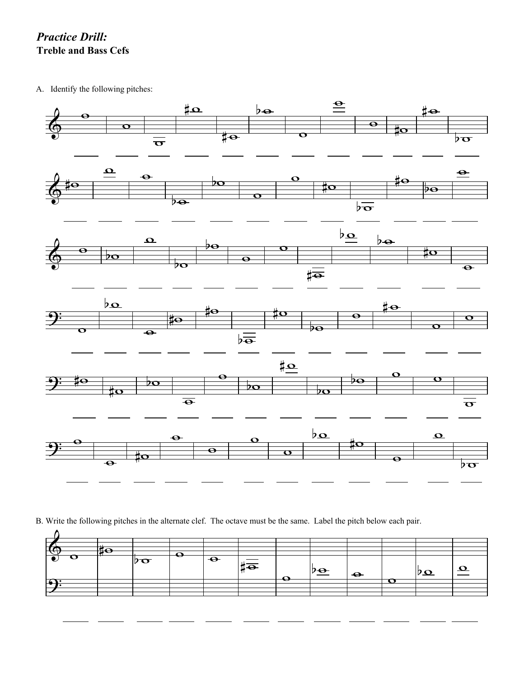*Practice Drill:* **Treble and Bass Cefs**

A. Identify the following pitches:



B. Write the following pitches in the alternate clef. The octave must be the same. Label the pitch below each pair.

| — |     |   |           |                             |                                             |  |          |  |
|---|-----|---|-----------|-----------------------------|---------------------------------------------|--|----------|--|
|   | , o | j | $\bullet$ | $\sharp \overline{\bullet}$ | <u>י<math>\overline{\mathbf{e}}</math>י</u> |  | $\Omega$ |  |
| − |     |   |           |                             |                                             |  |          |  |
|   |     |   |           |                             |                                             |  |          |  |
|   |     |   |           |                             |                                             |  |          |  |
|   |     |   |           |                             |                                             |  |          |  |